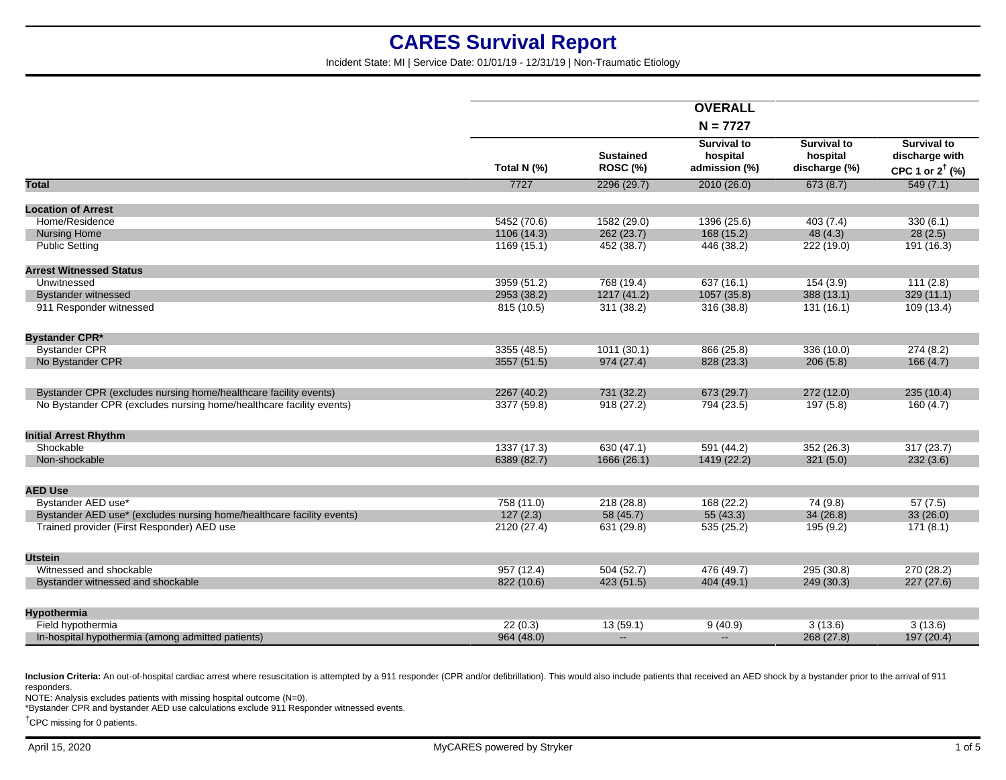Incident State: MI | Service Date: 01/01/19 - 12/31/19 | Non-Traumatic Etiology

|                                                                       |             |                                     | <b>OVERALL</b>                                  |                                                 |                                                                    |
|-----------------------------------------------------------------------|-------------|-------------------------------------|-------------------------------------------------|-------------------------------------------------|--------------------------------------------------------------------|
|                                                                       |             |                                     | $N = 7727$                                      |                                                 |                                                                    |
|                                                                       |             |                                     |                                                 |                                                 |                                                                    |
|                                                                       | Total N (%) | <b>Sustained</b><br><b>ROSC (%)</b> | <b>Survival to</b><br>hospital<br>admission (%) | <b>Survival to</b><br>hospital<br>discharge (%) | <b>Survival to</b><br>discharge with<br>CPC 1 or $2^{\dagger}$ (%) |
| <b>Total</b>                                                          | 7727        | 2296(29.7)                          | 2010(26.0)                                      | 673(8.7)                                        | 549(7.1)                                                           |
| <b>Location of Arrest</b>                                             |             |                                     |                                                 |                                                 |                                                                    |
| Home/Residence                                                        | 5452 (70.6) | 1582 (29.0)                         | 1396 (25.6)                                     | 403(7.4)                                        | 330(6.1)                                                           |
| <b>Nursing Home</b>                                                   | 1106(14.3)  | 262 (23.7)                          | 168 (15.2)                                      | 48(4.3)                                         | 28(2.5)                                                            |
| <b>Public Setting</b>                                                 | 1169(15.1)  | 452 (38.7)                          | 446 (38.2)                                      | 222 (19.0)                                      | 191 (16.3)                                                         |
|                                                                       |             |                                     |                                                 |                                                 |                                                                    |
| <b>Arrest Witnessed Status</b>                                        |             |                                     |                                                 |                                                 |                                                                    |
| Unwitnessed                                                           | 3959 (51.2) | 768 (19.4)                          | 637 (16.1)                                      | 154(3.9)                                        | 111(2.8)                                                           |
| <b>Bystander witnessed</b>                                            | 2953 (38.2) | 1217 (41.2)                         | 1057 (35.8)                                     | 388 (13.1)                                      | 329(11.1)                                                          |
| 911 Responder witnessed                                               | 815 (10.5)  | 311 (38.2)                          | 316 (38.8)                                      | 131(16.1)                                       | 109 (13.4)                                                         |
| <b>Bystander CPR*</b>                                                 |             |                                     |                                                 |                                                 |                                                                    |
| <b>Bystander CPR</b>                                                  | 3355 (48.5) | 1011(30.1)                          | 866 (25.8)                                      | 336 (10.0)                                      | 274(8.2)                                                           |
| No Bystander CPR                                                      | 3557 (51.5) | 974 (27.4)                          | 828 (23.3)                                      | 206(5.8)                                        | 166(4.7)                                                           |
| Bystander CPR (excludes nursing home/healthcare facility events)      | 2267 (40.2) | 731 (32.2)                          | 673 (29.7)                                      | 272 (12.0)                                      | 235(10.4)                                                          |
| No Bystander CPR (excludes nursing home/healthcare facility events)   |             |                                     |                                                 |                                                 |                                                                    |
|                                                                       | 3377 (59.8) | 918(27.2)                           | 794 (23.5)                                      | 197 (5.8)                                       | 160(4.7)                                                           |
| <b>Initial Arrest Rhythm</b>                                          |             |                                     |                                                 |                                                 |                                                                    |
| Shockable                                                             | 1337 (17.3) | 630(47.1)                           | 591 (44.2)                                      | 352 (26.3)                                      | 317(23.7)                                                          |
| Non-shockable                                                         | 6389 (82.7) | 1666 (26.1)                         | 1419 (22.2)                                     | 321(5.0)                                        | 232(3.6)                                                           |
|                                                                       |             |                                     |                                                 |                                                 |                                                                    |
| <b>AED Use</b>                                                        |             |                                     |                                                 |                                                 |                                                                    |
| Bystander AED use*                                                    | 758 (11.0)  | 218(28.8)                           | 168 (22.2)                                      | 74(9.8)                                         | 57(7.5)                                                            |
| Bystander AED use* (excludes nursing home/healthcare facility events) | 127(2.3)    | 58 (45.7)                           | 55(43.3)                                        | 34(26.8)                                        | 33(26.0)                                                           |
| Trained provider (First Responder) AED use                            | 2120 (27.4) | 631 (29.8)                          | 535 (25.2)                                      | 195(9.2)                                        | 171(8.1)                                                           |
| <b>Utstein</b>                                                        |             |                                     |                                                 |                                                 |                                                                    |
| Witnessed and shockable                                               | 957 (12.4)  | 504(52.7)                           | 476 (49.7)                                      | 295 (30.8)                                      | 270 (28.2)                                                         |
| Bystander witnessed and shockable                                     | 822 (10.6)  | 423 (51.5)                          | 404 (49.1)                                      | 249 (30.3)                                      | 227(27.6)                                                          |
|                                                                       |             |                                     |                                                 |                                                 |                                                                    |
| Hypothermia                                                           |             |                                     |                                                 |                                                 |                                                                    |
| Field hypothermia                                                     | 22(0.3)     | 13(59.1)                            | 9(40.9)                                         | 3(13.6)                                         | 3(13.6)                                                            |
| In-hospital hypothermia (among admitted patients)                     | 964 (48.0)  | $\mathbf{u}$                        | $\overline{a}$                                  | 268 (27.8)                                      | 197 (20.4)                                                         |

Inclusion Criteria: An out-of-hospital cardiac arrest where resuscitation is attempted by a 911 responder (CPR and/or defibrillation). This would also include patients that received an AED shock by a bystander prior to the responders.

NOTE: Analysis excludes patients with missing hospital outcome (N=0).

\*Bystander CPR and bystander AED use calculations exclude 911 Responder witnessed events.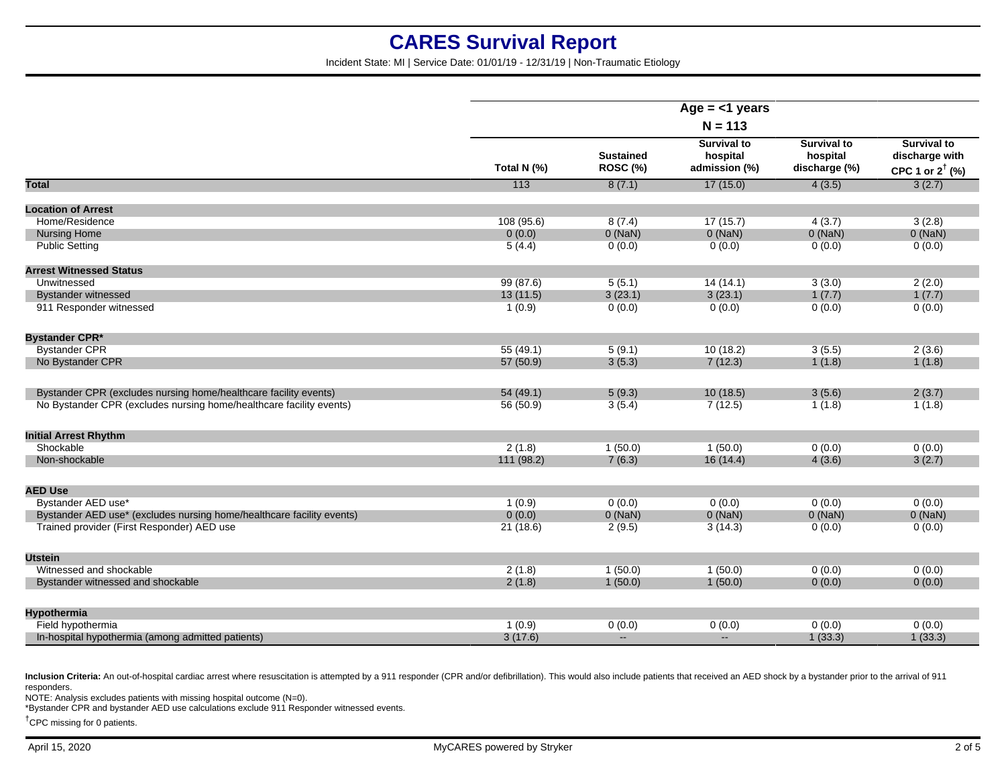Incident State: MI | Service Date: 01/01/19 - 12/31/19 | Non-Traumatic Etiology

|                                                                       | Age $=$ <1 years<br>$N = 113$ |                              |                                                 |                                                 |                                                                    |
|-----------------------------------------------------------------------|-------------------------------|------------------------------|-------------------------------------------------|-------------------------------------------------|--------------------------------------------------------------------|
|                                                                       |                               |                              |                                                 |                                                 |                                                                    |
|                                                                       | Total N (%)                   | <b>Sustained</b><br>ROSC (%) | <b>Survival to</b><br>hospital<br>admission (%) | <b>Survival to</b><br>hospital<br>discharge (%) | <b>Survival to</b><br>discharge with<br>CPC 1 or $2^{\dagger}$ (%) |
| <b>Total</b>                                                          | 113                           | 8(7.1)                       | 17(15.0)                                        | 4(3.5)                                          | 3(2.7)                                                             |
| <b>Location of Arrest</b>                                             |                               |                              |                                                 |                                                 |                                                                    |
| Home/Residence                                                        | 108(95.6)                     | 8(7.4)                       | 17(15.7)                                        | 4(3.7)                                          | 3(2.8)                                                             |
| <b>Nursing Home</b>                                                   | 0(0.0)                        | $0$ (NaN)                    | $0$ (NaN)                                       | $0$ (NaN)                                       | $0$ (NaN)                                                          |
| <b>Public Setting</b>                                                 | 5(4.4)                        | 0(0.0)                       | 0(0.0)                                          | 0(0.0)                                          | 0(0.0)                                                             |
| <b>Arrest Witnessed Status</b>                                        |                               |                              |                                                 |                                                 |                                                                    |
| Unwitnessed                                                           | 99(87.6)                      | 5(5.1)                       | 14(14.1)                                        | 3(3.0)                                          | 2(2.0)                                                             |
| <b>Bystander witnessed</b>                                            | 13(11.5)                      | 3(23.1)                      | 3(23.1)                                         | 1(7.7)                                          | 1(7.7)                                                             |
| 911 Responder witnessed                                               | 1(0.9)                        | 0(0.0)                       | 0(0.0)                                          | 0(0.0)                                          | 0(0.0)                                                             |
| <b>Bystander CPR*</b>                                                 |                               |                              |                                                 |                                                 |                                                                    |
| <b>Bystander CPR</b>                                                  | 55(49.1)                      | 5(9.1)                       | 10(18.2)                                        | 3(5.5)                                          | 2(3.6)                                                             |
| No Bystander CPR                                                      | 57 (50.9)                     | 3(5.3)                       | 7(12.3)                                         | 1(1.8)                                          | 1(1.8)                                                             |
| Bystander CPR (excludes nursing home/healthcare facility events)      | 54(49.1)                      | 5(9.3)                       | 10(18.5)                                        | 3(5.6)                                          | 2(3.7)                                                             |
| No Bystander CPR (excludes nursing home/healthcare facility events)   | 56 (50.9)                     | 3(5.4)                       | 7(12.5)                                         | 1(1.8)                                          | 1(1.8)                                                             |
| <b>Initial Arrest Rhythm</b>                                          |                               |                              |                                                 |                                                 |                                                                    |
| Shockable                                                             | 2(1.8)                        | 1(50.0)                      | 1(50.0)                                         | 0(0.0)                                          | 0(0.0)                                                             |
| Non-shockable                                                         | 111(98.2)                     | 7(6.3)                       | 16(14.4)                                        | 4(3.6)                                          | 3(2.7)                                                             |
| <b>AED Use</b>                                                        |                               |                              |                                                 |                                                 |                                                                    |
| Bystander AED use*                                                    | 1(0.9)                        | 0(0.0)                       | 0(0.0)                                          | 0(0.0)                                          | 0(0.0)                                                             |
| Bystander AED use* (excludes nursing home/healthcare facility events) | 0(0.0)                        | $0$ (NaN)                    | $0$ (NaN)                                       | $0$ (NaN)                                       | $0$ (NaN)                                                          |
| Trained provider (First Responder) AED use                            | 21(18.6)                      | 2(9.5)                       | 3(14.3)                                         | 0(0.0)                                          | 0(0.0)                                                             |
| <b>Utstein</b>                                                        |                               |                              |                                                 |                                                 |                                                                    |
| Witnessed and shockable                                               | 2(1.8)                        | 1(50.0)                      | 1(50.0)                                         | 0(0.0)                                          | 0(0.0)                                                             |
| Bystander witnessed and shockable                                     | 2(1.8)                        | 1(50.0)                      | 1(50.0)                                         | 0(0.0)                                          | 0(0.0)                                                             |
| Hypothermia                                                           |                               |                              |                                                 |                                                 |                                                                    |
| Field hypothermia                                                     | 1(0.9)                        | 0(0.0)                       | 0(0.0)                                          | 0(0.0)                                          | 0(0.0)                                                             |
| In-hospital hypothermia (among admitted patients)                     | 3(17.6)                       | $\mathbf{L}$                 | $\mathbf{L}$                                    | 1(33.3)                                         | 1(33.3)                                                            |
|                                                                       |                               |                              |                                                 |                                                 |                                                                    |

Inclusion Criteria: An out-of-hospital cardiac arrest where resuscitation is attempted by a 911 responder (CPR and/or defibrillation). This would also include patients that received an AED shock by a bystander prior to the responders.

NOTE: Analysis excludes patients with missing hospital outcome (N=0).

\*Bystander CPR and bystander AED use calculations exclude 911 Responder witnessed events.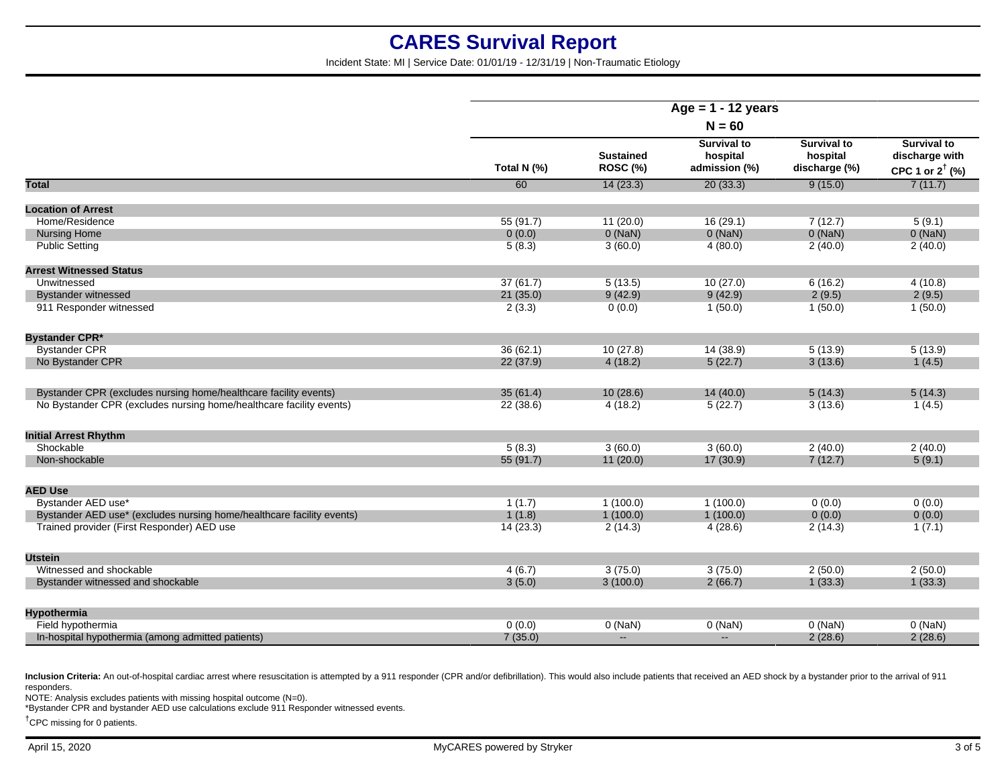Incident State: MI | Service Date: 01/01/19 - 12/31/19 | Non-Traumatic Etiology

|                                                                       | Age = $1 - 12$ years |                              |                                                 |                                                 |                                                             |
|-----------------------------------------------------------------------|----------------------|------------------------------|-------------------------------------------------|-------------------------------------------------|-------------------------------------------------------------|
|                                                                       | $N = 60$             |                              |                                                 |                                                 |                                                             |
|                                                                       | Total N (%)          | <b>Sustained</b><br>ROSC (%) | <b>Survival to</b><br>hospital<br>admission (%) | <b>Survival to</b><br>hospital<br>discharge (%) | Survival to<br>discharge with<br>CPC 1 or $2^{\dagger}$ (%) |
| Total                                                                 | 60                   | 14(23.3)                     | 20(33.3)                                        | 9(15.0)                                         | 7(11.7)                                                     |
| <b>Location of Arrest</b>                                             |                      |                              |                                                 |                                                 |                                                             |
| Home/Residence                                                        | 55(91.7)             | 11(20.0)                     | 16(29.1)                                        | 7(12.7)                                         | 5(9.1)                                                      |
| <b>Nursing Home</b>                                                   | 0(0.0)               | $0$ (NaN)                    | $0$ (NaN)                                       | $0$ (NaN)                                       | $0$ (NaN)                                                   |
| <b>Public Setting</b>                                                 | 5(8.3)               | 3(60.0)                      | 4(80.0)                                         | 2(40.0)                                         | 2(40.0)                                                     |
| <b>Arrest Witnessed Status</b>                                        |                      |                              |                                                 |                                                 |                                                             |
| Unwitnessed                                                           | 37(61.7)             | 5(13.5)                      | 10(27.0)                                        | 6(16.2)                                         | 4(10.8)                                                     |
| <b>Bystander witnessed</b>                                            | 21(35.0)             | 9(42.9)                      | 9(42.9)                                         | 2(9.5)                                          | 2(9.5)                                                      |
| 911 Responder witnessed                                               | 2(3.3)               | 0(0.0)                       | 1(50.0)                                         | 1(50.0)                                         | 1(50.0)                                                     |
| <b>Bystander CPR*</b>                                                 |                      |                              |                                                 |                                                 |                                                             |
| <b>Bystander CPR</b>                                                  | 36(62.1)             | 10(27.8)                     | 14 (38.9)                                       | 5(13.9)                                         | 5(13.9)                                                     |
| No Bystander CPR                                                      | 22 (37.9)            | 4(18.2)                      | 5(22.7)                                         | 3(13.6)                                         | 1(4.5)                                                      |
| Bystander CPR (excludes nursing home/healthcare facility events)      | 35(61.4)             | 10(28.6)                     | 14(40.0)                                        | 5(14.3)                                         | 5(14.3)                                                     |
| No Bystander CPR (excludes nursing home/healthcare facility events)   | 22(38.6)             | 4(18.2)                      | 5(22.7)                                         | 3(13.6)                                         | 1(4.5)                                                      |
| <b>Initial Arrest Rhythm</b>                                          |                      |                              |                                                 |                                                 |                                                             |
| Shockable                                                             | 5(8.3)               | 3(60.0)                      | 3(60.0)                                         | 2(40.0)                                         | 2(40.0)                                                     |
| Non-shockable                                                         | 55(91.7)             | 11(20.0)                     | 17 (30.9)                                       | 7(12.7)                                         | 5(9.1)                                                      |
| <b>AED Use</b>                                                        |                      |                              |                                                 |                                                 |                                                             |
| Bystander AED use*                                                    | 1(1.7)               | 1(100.0)                     | 1(100.0)                                        | 0(0.0)                                          | 0(0.0)                                                      |
| Bystander AED use* (excludes nursing home/healthcare facility events) | 1(1.8)               | 1(100.0)                     | 1(100.0)                                        | 0(0.0)                                          | 0(0.0)                                                      |
| Trained provider (First Responder) AED use                            | 14(23.3)             | 2(14.3)                      | 4(28.6)                                         | 2(14.3)                                         | 1(7.1)                                                      |
| <b>Utstein</b>                                                        |                      |                              |                                                 |                                                 |                                                             |
| Witnessed and shockable                                               | 4(6.7)               | 3(75.0)                      | 3(75.0)                                         | 2(50.0)                                         | 2(50.0)                                                     |
| Bystander witnessed and shockable                                     | 3(5.0)               | 3(100.0)                     | 2(66.7)                                         | 1(33.3)                                         | 1(33.3)                                                     |
| <b>Hypothermia</b>                                                    |                      |                              |                                                 |                                                 |                                                             |
| Field hypothermia                                                     | 0(0.0)               | $0$ (NaN)                    | $0$ (NaN)                                       | $0$ (NaN)                                       | $0$ (NaN)                                                   |
| In-hospital hypothermia (among admitted patients)                     | 7(35.0)              | $\mathbf{u}$                 | $\overline{a}$                                  | 2(28.6)                                         | 2(28.6)                                                     |
|                                                                       |                      |                              |                                                 |                                                 |                                                             |

Inclusion Criteria: An out-of-hospital cardiac arrest where resuscitation is attempted by a 911 responder (CPR and/or defibrillation). This would also include patients that received an AED shock by a bystander prior to the responders.

NOTE: Analysis excludes patients with missing hospital outcome (N=0).

\*Bystander CPR and bystander AED use calculations exclude 911 Responder witnessed events.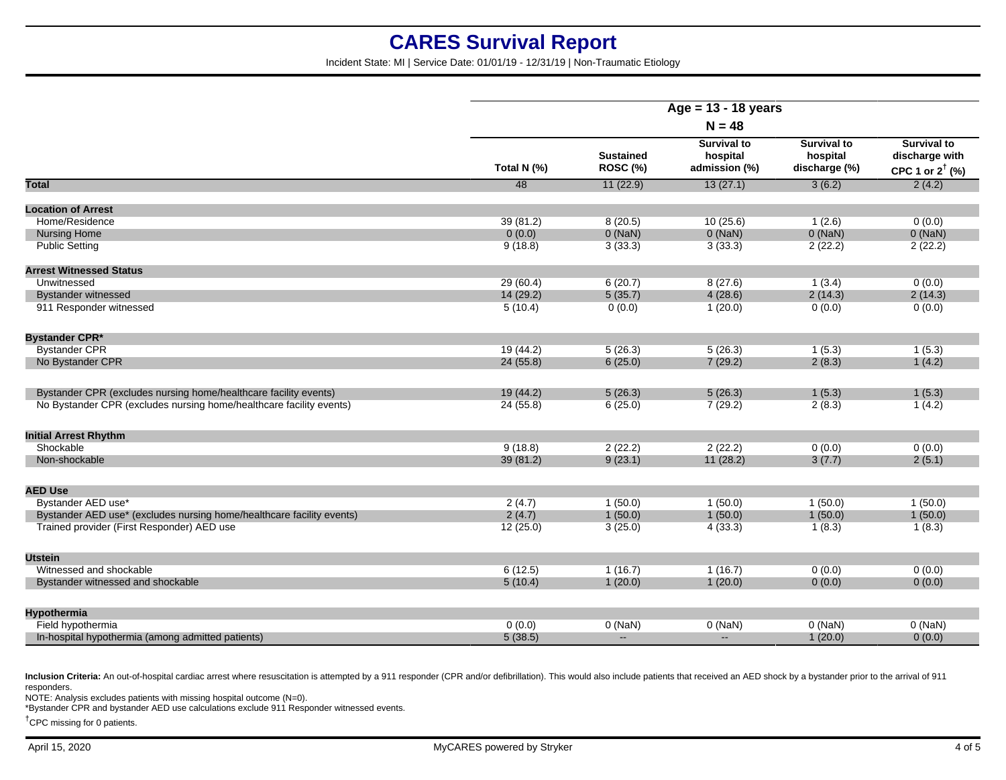Incident State: MI | Service Date: 01/01/19 - 12/31/19 | Non-Traumatic Etiology

|                                                                       | Age = $13 - 18$ years |                              |                                                 |                                                 |                                                                    |
|-----------------------------------------------------------------------|-----------------------|------------------------------|-------------------------------------------------|-------------------------------------------------|--------------------------------------------------------------------|
|                                                                       | $N = 48$              |                              |                                                 |                                                 |                                                                    |
|                                                                       | Total N (%)           | <b>Sustained</b><br>ROSC (%) | <b>Survival to</b><br>hospital<br>admission (%) | <b>Survival to</b><br>hospital<br>discharge (%) | <b>Survival to</b><br>discharge with<br>CPC 1 or $2^{\dagger}$ (%) |
| <b>Total</b>                                                          | 48                    | 11(22.9)                     | 13(27.1)                                        | 3(6.2)                                          | 2(4.2)                                                             |
| <b>Location of Arrest</b>                                             |                       |                              |                                                 |                                                 |                                                                    |
| Home/Residence                                                        | 39(81.2)              | 8(20.5)                      | 10(25.6)                                        | 1(2.6)                                          | 0(0.0)                                                             |
| <b>Nursing Home</b>                                                   | 0(0.0)                | $0$ (NaN)                    | 0(NaN)                                          | $0$ (NaN)                                       | $0$ (NaN)                                                          |
| <b>Public Setting</b>                                                 | 9(18.8)               | 3(33.3)                      | 3(33.3)                                         | 2(22.2)                                         | 2(22.2)                                                            |
| <b>Arrest Witnessed Status</b>                                        |                       |                              |                                                 |                                                 |                                                                    |
| Unwitnessed                                                           | 29(60.4)              | 6(20.7)                      | 8(27.6)                                         | 1(3.4)                                          | 0(0.0)                                                             |
| <b>Bystander witnessed</b>                                            | 14(29.2)              | 5(35.7)                      | 4(28.6)                                         | 2(14.3)                                         | 2(14.3)                                                            |
| 911 Responder witnessed                                               | 5(10.4)               | 0(0.0)                       | 1(20.0)                                         | 0(0.0)                                          | 0(0.0)                                                             |
| <b>Bystander CPR*</b>                                                 |                       |                              |                                                 |                                                 |                                                                    |
| <b>Bystander CPR</b>                                                  | 19(44.2)              | 5(26.3)                      | 5(26.3)                                         | 1(5.3)                                          | 1(5.3)                                                             |
| No Bystander CPR                                                      | 24(55.8)              | 6(25.0)                      | 7(29.2)                                         | 2(8.3)                                          | 1(4.2)                                                             |
| Bystander CPR (excludes nursing home/healthcare facility events)      | 19 (44.2)             | 5(26.3)                      | 5(26.3)                                         | 1(5.3)                                          | 1(5.3)                                                             |
| No Bystander CPR (excludes nursing home/healthcare facility events)   | 24(55.8)              | 6(25.0)                      | 7(29.2)                                         | 2(8.3)                                          | 1(4.2)                                                             |
| <b>Initial Arrest Rhythm</b>                                          |                       |                              |                                                 |                                                 |                                                                    |
| Shockable                                                             | 9(18.8)               | 2(22.2)                      | 2(22.2)                                         | 0(0.0)                                          | 0(0.0)                                                             |
| Non-shockable                                                         | 39 (81.2)             | 9(23.1)                      | 11(28.2)                                        | 3(7.7)                                          | 2(5.1)                                                             |
| <b>AED Use</b>                                                        |                       |                              |                                                 |                                                 |                                                                    |
| Bystander AED use*                                                    | 2(4.7)                | 1(50.0)                      | 1(50.0)                                         | 1(50.0)                                         | 1(50.0)                                                            |
| Bystander AED use* (excludes nursing home/healthcare facility events) | 2(4.7)                | 1(50.0)                      | 1(50.0)                                         | 1(50.0)                                         | 1(50.0)                                                            |
| Trained provider (First Responder) AED use                            | 12(25.0)              | 3(25.0)                      | 4(33.3)                                         | 1(8.3)                                          | 1(8.3)                                                             |
| <b>Utstein</b>                                                        |                       |                              |                                                 |                                                 |                                                                    |
| Witnessed and shockable                                               | 6(12.5)               | 1(16.7)                      | 1(16.7)                                         | 0(0.0)                                          | 0(0.0)                                                             |
| Bystander witnessed and shockable                                     | 5(10.4)               | 1(20.0)                      | 1(20.0)                                         | 0(0.0)                                          | 0(0.0)                                                             |
| <b>Hypothermia</b>                                                    |                       |                              |                                                 |                                                 |                                                                    |
| Field hypothermia                                                     | 0(0.0)                | $0$ (NaN)                    | $0$ (NaN)                                       | $0$ (NaN)                                       | $0$ (NaN)                                                          |
| In-hospital hypothermia (among admitted patients)                     | 5(38.5)               | $\sim$                       | $\sim$                                          | 1(20.0)                                         | 0(0.0)                                                             |
|                                                                       |                       |                              |                                                 |                                                 |                                                                    |

Inclusion Criteria: An out-of-hospital cardiac arrest where resuscitation is attempted by a 911 responder (CPR and/or defibrillation). This would also include patients that received an AED shock by a bystander prior to the responders.

NOTE: Analysis excludes patients with missing hospital outcome (N=0).

\*Bystander CPR and bystander AED use calculations exclude 911 Responder witnessed events.